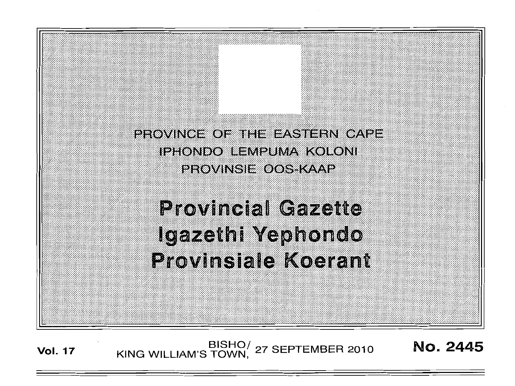PROVINCE OF THE EASTERN CAPE IPHONDO BEMPUMA KOLONI PROVINSIE OOS KAAP

**Provincial Gazette** Igazethi Yephondo **Provinsiale Koerant** 

BISHO/ 27 SEPTEMBER 2010<br>KING WILLIAM'S TOWN, 27 SEPTEMBER 2010 No. 2445 **Vol. 17**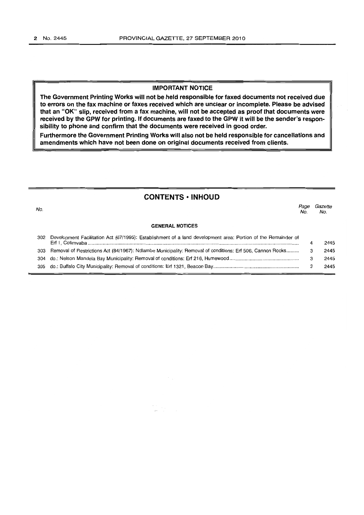No.

## **IMPORTANT NOTICE**

**The Government Printing Works will not be held responsible for faxed documents not received due to errors on the fax machine or faxes received which are unclear or incomplete. Please be advised that an "OK" slip, received from a fax machine, will not be accepted as proof that documents were received by the GPW for printing. If documents are faxed to the GPW it will be the sender's responsibility to phone and confirm that the documents were received in good order.**

**Furthermore the Government Printing Works will also not be held responsible for cancellations and amendments which have not been done on original documents received from clients.**

# **CONTENTS· INHOUD**

Page Gazette<br>No. No. No. No.

#### **GENERAL NOTICES**

| 302 Development Facilitation Act (67/1995): Establishment of a land development area: Portion of the Remainder of | 2445 |
|-------------------------------------------------------------------------------------------------------------------|------|
| 303 Removal of Restrictions Act (84/1967): Ndlambe Municipality: Removal of conditions: Erf 506, Cannon Rocks 3   | 2445 |
|                                                                                                                   | 2445 |
|                                                                                                                   | 2445 |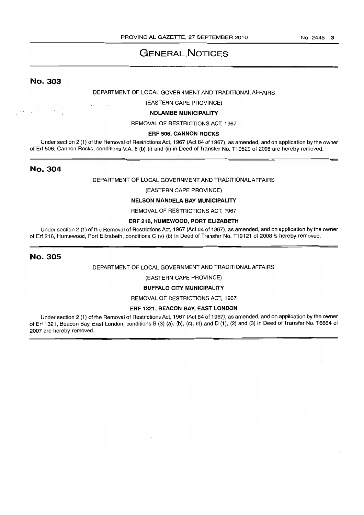# **GENERAL NOTICES**

# No. 303

<u> 1915 - Ale</u>

### DEPARTMENT OF LOCAL GOVERNMENT AND TRADITIONAL AFFAIRS

### (EASTERN CAPE PROVINCE)

#### NDLAMBE MUNICIPALITY

#### REMOVAL OF RESTRICTIONS ACT, 1967

#### ERF 506, CANNON ROCKS

Under section 2 (1) of the Removal of Restrictions Act, 1967 (Act 84 of 1967), as amended, and on application by the owner of Erf 506, Cannon Rocks, conditions V.A. 6 (b) (i) and (ii) in Deed of Transfer No. T10529 of 2008 are hereby removed.

### No. 304

 $\overline{a}$ 

#### DEPARTMENT OF LOCAL GOVERNMENT AND TRADITIONAL AFFAIRS

#### (EASTERN CAPE PROVINCE)

#### NELSON MANDELA BAY MUNICIPALITY

#### REMOVAL OF RESTRICTIONS ACT, 1967

#### ERF 216, HUMEWOOD, PORT ELIZABETH

Under section 2 (1) of the Removal of Restrictions Act, 1967 (Act 84 of 1967), as amended, and on application by the owner of Erf 216, Humewood, Port Elizabeth, conditions C (v) (b) in Deed of Transfer No. T19121 of 2008 is hereby removed.

### No. 305

#### DEPARTMENT OF LOCAL GOVERNMENT AND TRADITIONAL AFFAIRS

(EASTERN CAPE PROVINCE)

### BUFFALO CITY MUNICIPALITY

REMOVAL OF RESTRICTIONS ACT, 1967

#### ERF 1321, BEACON BAY, EAST LONDON

Under section 2 (1) of the Removal of Restrictions Act, 1967 (Act 84 of 1967), as amended, and on application by the owner of Erf 1321, Beacon Bay, East London, conditions B (3) (a), (b), (c), (d) and D (1), (2) and (3) in Deed of Transfer No. T6664 of 2007 are hereby removed.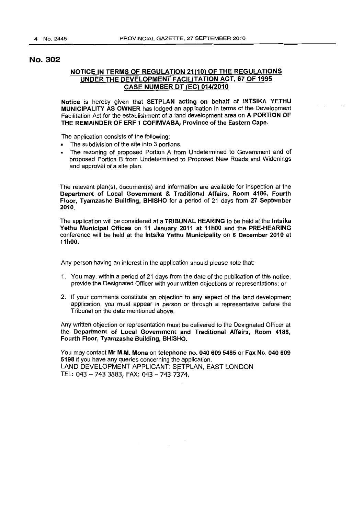# No. 302

# NOTICE IN TERMS OF REGULATION 21(10) OF THE REGULATIONS UNDER THE DEVELOPMENT FACILITATION ACT, 67 OF 1995 **CASE NUMBER DT (EC) 014/2010**

Notice is hereby given that SETPLAN acting on behalf of INTSIKA YETHU MUNICIPALITY AS OWNER has lodged an application in terms of the Development Facilitation Act for the establishment of a land development area on A PORTION OF THE REMAINDER OF ERF 1 COFIMVABA, Province of the Eastern Cape.

The application consists of the following:

- The subdivision of the site into 3 portions.
- The rezoning of proposed Portion A from Undetermined to Government and of proposed Portion B from Undetermined to Proposed New Roads and Widenings and approval of a site plan.

The relevant plan(s), document(s) and information are available for inspection at the Department of Local Government & Traditional Affairs, Room 4186, Fourth Floor, Tyamzashe Building, BHISHO for a period of 21 days from 27 September 2010.

The application will be considered at a TRIBUNAL HEARING to be held at the Intsika Yethu Municipal Offices on 11 January 2011 at 11hOO and the PRE-HEARING conference will be held at the Intsika Yethu Municipality on 6 December 2010 at 11hOO.

Any person having an interest in the application should please note that:

- 1. You may, within a period of 21 days from the date of the publication of this notice, provide the Designated Officer with your written objections or representations; or
- 2. If your comments constitute an objection to any aspect of the land development application, you must appear in person or through a representative before the Tribunal on the date mentioned above.

Any written objection or representation must be delivered to the Designated Officer at the Department of Local Government and Traditional Affairs, Room 4186, Fourth Floor, Tyarnzashe Building, BHISHO.

You may contact Mr M.M. Mona on telephone no. 040 609 5465 or Fax No. 040 609 5198 if you have any queries concerning the application. LAND DEVELOPMENT APPLICANT: SETPLAN, EAST LONDON TEL: 043 - 743 3883, FAX: 043 - 743 7374.